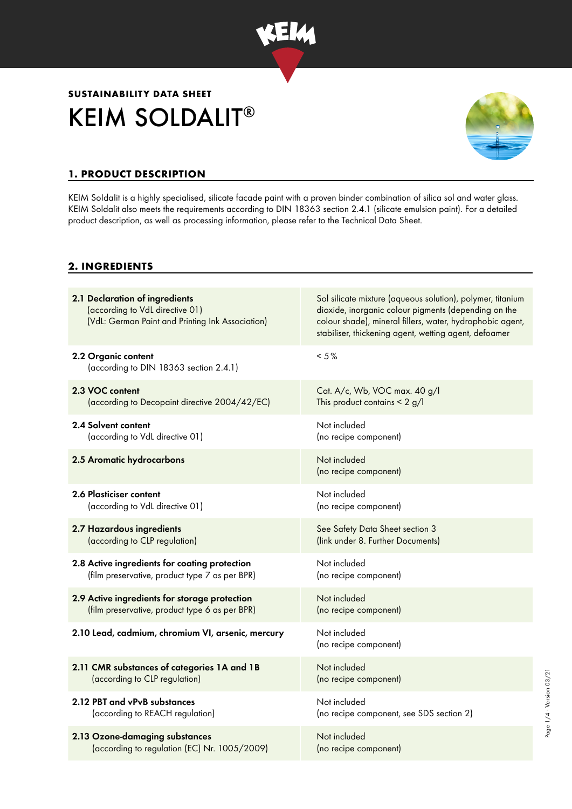

# KEIM SOLDALIT® **SUSTAINABILITY DATA SHEET**



### **1. PRODUCT DESCRIPTION**

KEIM Soldalit is a highly specialised, silicate facade paint with a proven binder combination of silica sol and water glass. KEIM Soldalit also meets the requirements according to DIN 18363 section 2.4.1 (silicate emulsion paint). For a detailed product description, as well as processing information, please refer to the Technical Data Sheet.

#### **2. INGREDIENTS**

| 2.1 Declaration of ingredients<br>(according to VdL directive 01)<br>(VdL: German Paint and Printing Ink Association) | Sol silicate mixture (aqueous solution), polymer, titanium<br>dioxide, inorganic colour pigments (depending on the<br>colour shade), mineral fillers, water, hydrophobic agent,<br>stabiliser, thickening agent, wetting agent, defoamer |
|-----------------------------------------------------------------------------------------------------------------------|------------------------------------------------------------------------------------------------------------------------------------------------------------------------------------------------------------------------------------------|
| 2.2 Organic content<br>(according to DIN 18363 section 2.4.1)                                                         | $< 5 \%$                                                                                                                                                                                                                                 |
| 2.3 VOC content                                                                                                       | Cat. A/c, Wb, VOC max. 40 g/l                                                                                                                                                                                                            |
| (according to Decopaint directive 2004/42/EC)                                                                         | This product contains $< 2$ g/l                                                                                                                                                                                                          |
| 2.4 Solvent content                                                                                                   | Not included                                                                                                                                                                                                                             |
| (according to VdL directive 01)                                                                                       | (no recipe component)                                                                                                                                                                                                                    |
| 2.5 Aromatic hydrocarbons                                                                                             | Not included<br>(no recipe component)                                                                                                                                                                                                    |
| 2.6 Plasticiser content                                                                                               | Not included                                                                                                                                                                                                                             |
| (according to VdL directive 01)                                                                                       | (no recipe component)                                                                                                                                                                                                                    |
| 2.7 Hazardous ingredients                                                                                             | See Safety Data Sheet section 3                                                                                                                                                                                                          |
| (according to CLP regulation)                                                                                         | (link under 8. Further Documents)                                                                                                                                                                                                        |
| 2.8 Active ingredients for coating protection                                                                         | Not included                                                                                                                                                                                                                             |
| (film preservative, product type 7 as per BPR)                                                                        | (no recipe component)                                                                                                                                                                                                                    |
| 2.9 Active ingredients for storage protection                                                                         | Not included                                                                                                                                                                                                                             |
| (film preservative, product type 6 as per BPR)                                                                        | (no recipe component)                                                                                                                                                                                                                    |
| 2.10 Lead, cadmium, chromium VI, arsenic, mercury                                                                     | Not included<br>(no recipe component)                                                                                                                                                                                                    |
| 2.11 CMR substances of categories 1A and 1B                                                                           | Not included                                                                                                                                                                                                                             |
| (according to CLP regulation)                                                                                         | (no recipe component)                                                                                                                                                                                                                    |
| 2.12 PBT and vPvB substances                                                                                          | Not included                                                                                                                                                                                                                             |
| (according to REACH regulation)                                                                                       | (no recipe component, see SDS section 2)                                                                                                                                                                                                 |
| 2.13 Ozone-damaging substances                                                                                        | Not included                                                                                                                                                                                                                             |
| (according to regulation (EC) Nr. 1005/2009)                                                                          | (no recipe component)                                                                                                                                                                                                                    |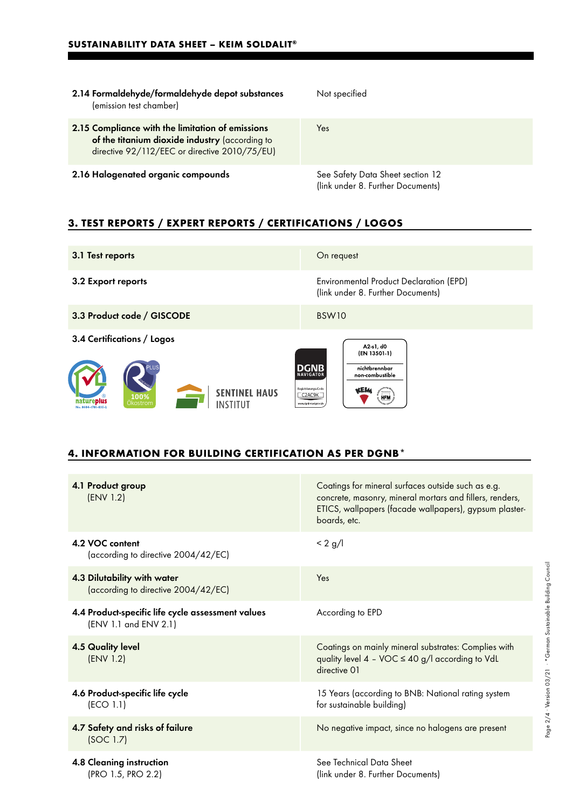| 2.14 Formaldehyde/formaldehyde depot substances<br>(emission test chamber)                                                                          | Not specified                                                         |
|-----------------------------------------------------------------------------------------------------------------------------------------------------|-----------------------------------------------------------------------|
| 2.15 Compliance with the limitation of emissions<br>of the titanium dioxide industry (according to<br>directive 92/112/EEC or directive 2010/75/EU) | Yes                                                                   |
| 2.16 Halogenated organic compounds                                                                                                                  | See Safety Data Sheet section 12<br>(link under 8. Further Documents) |

## **3. TEST REPORTS / EXPERT REPORTS / CERTIFICATIONS / LOGOS**

| 3.1 Test reports                                                                                                         | On request                                                                                                                                                                            |
|--------------------------------------------------------------------------------------------------------------------------|---------------------------------------------------------------------------------------------------------------------------------------------------------------------------------------|
| 3.2 Export reports                                                                                                       | <b>Environmental Product Declaration (EPD)</b><br>(link under 8. Further Documents)                                                                                                   |
| 3.3 Product code / GISCODE                                                                                               | BSW <sub>10</sub>                                                                                                                                                                     |
| 3.4 Certifications / Logos<br><b>SENTINEL HAUS</b><br>100%<br>natureplus<br>INSTITIIT<br>Okostrom<br>No. 0604-1701-035-2 | A2 s1, d0<br>(EN 13501-1)<br><b>DGNB</b><br>nichtbrennbar<br><b>NAVIGATOR</b><br>non combustible<br>Registrierungs-Code<br>Osewarium<br>C2AC9K<br><b>HFM</b><br>www.donb-navigator.de |

#### **4. INFORMATION FOR BUILDING CERTIFICATION AS PER DGNB\***

| 4.1 Product group<br>(ENV 1.2)                                             | Coatings for mineral surfaces outside such as e.g.<br>concrete, masonry, mineral mortars and fillers, renders,<br>ETICS, wallpapers (facade wallpapers), gypsum plaster-<br>boards, etc. |
|----------------------------------------------------------------------------|------------------------------------------------------------------------------------------------------------------------------------------------------------------------------------------|
| 4.2 VOC content<br>(according to directive 2004/42/EC)                     | < 2 g/l                                                                                                                                                                                  |
| 4.3 Dilutability with water<br>(according to directive 2004/42/EC)         | Yes                                                                                                                                                                                      |
| 4.4 Product-specific life cycle assessment values<br>(ENV 1.1 and ENV 2.1) | According to EPD                                                                                                                                                                         |
| <b>4.5 Quality level</b><br>(ENV 1.2)                                      | Coatings on mainly mineral substrates: Complies with<br>quality level $4 - \text{VOC} \le 40 \text{ g/l}$ according to VdL<br>directive 01                                               |
| 4.6 Product-specific life cycle<br>(ECO 1.1)                               | 15 Years (according to BNB: National rating system<br>for sustainable building)                                                                                                          |
| 4.7 Safety and risks of failure<br>(SOC 1.7)                               | No negative impact, since no halogens are present                                                                                                                                        |
| 4.8 Cleaning instruction<br>(PRO 1.5, PRO 2.2)                             | See Technical Data Sheet<br>(link under 8. Further Documents)                                                                                                                            |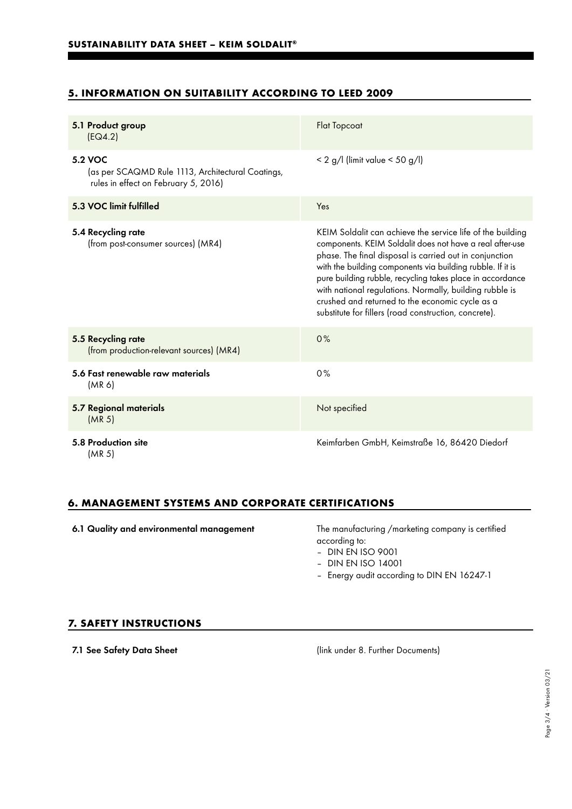# **5. INFORMATION ON SUITABILITY ACCORDING TO LEED 2009**

| 5.1 Product group<br>[EQ4.2]                                                                         | <b>Flat Topcoat</b>                                                                                                                                                                                                                                                                                                                                                                                                                                                                 |
|------------------------------------------------------------------------------------------------------|-------------------------------------------------------------------------------------------------------------------------------------------------------------------------------------------------------------------------------------------------------------------------------------------------------------------------------------------------------------------------------------------------------------------------------------------------------------------------------------|
| 5.2 VOC<br>(as per SCAQMD Rule 1113, Architectural Coatings,<br>rules in effect on February 5, 2016) | $< 2$ g/l (limit value $< 50$ g/l)                                                                                                                                                                                                                                                                                                                                                                                                                                                  |
| 5.3 VOC limit fulfilled                                                                              | Yes                                                                                                                                                                                                                                                                                                                                                                                                                                                                                 |
| 5.4 Recycling rate<br>(from post-consumer sources) (MR4)                                             | KEIM Soldalit can achieve the service life of the building<br>components. KEIM Soldalit does not have a real after-use<br>phase. The final disposal is carried out in conjunction<br>with the building components via building rubble. If it is<br>pure building rubble, recycling takes place in accordance<br>with national regulations. Normally, building rubble is<br>crushed and returned to the economic cycle as a<br>substitute for fillers (road construction, concrete). |
| 5.5 Recycling rate<br>(from production-relevant sources) (MR4)                                       | 0%                                                                                                                                                                                                                                                                                                                                                                                                                                                                                  |
| 5.6 Fast renewable raw materials<br>(MR 6)                                                           | 0%                                                                                                                                                                                                                                                                                                                                                                                                                                                                                  |
| 5.7 Regional materials<br>(MR <sub>5</sub> )                                                         | Not specified                                                                                                                                                                                                                                                                                                                                                                                                                                                                       |
| 5.8 Production site<br>(MR 5)                                                                        | Keimfarben GmbH, Keimstraße 16, 86420 Diedorf                                                                                                                                                                                                                                                                                                                                                                                                                                       |

#### **6. MANAGEMENT SYSTEMS AND CORPORATE CERTIFICATIONS**

6.1 Quality and environmental management The manufacturing /marketing company is certified according to:

– DIN EN ISO 9001

- DIN EN ISO 14001
- Energy audit according to DIN EN 16247-1

#### **7. SAFETY INSTRUCTIONS**

7.1 See Safety Data Sheet (link under 8. Further Documents)